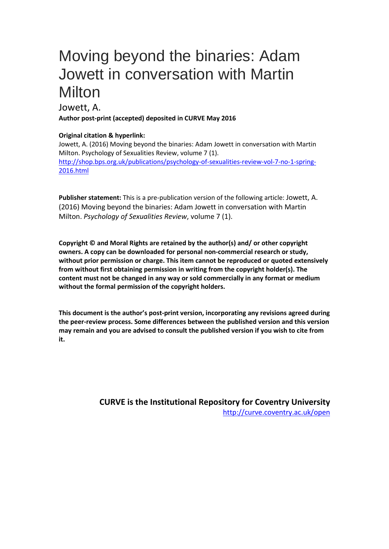# Moving beyond the binaries: Adam Jowett in conversation with Martin **Milton**

### Jowett, A. **Author post-print (accepted) deposited in CURVE May 2016**

#### **Original citation & hyperlink:**

Jowett, A. (2016) Moving beyond the binaries: Adam Jowett in conversation with Martin Milton. Psychology of Sexualities Review, volume 7 (1). [http://shop.bps.org.uk/publications/psychology-of-sexualities-review-vol-7-no-1-spring-](http://shop.bps.org.uk/publications/psychology-of-sexualities-review-vol-7-no-1-spring-2016.html)[2016.html](http://shop.bps.org.uk/publications/psychology-of-sexualities-review-vol-7-no-1-spring-2016.html)

**Publisher statement:** This is a pre-publication version of the following article: Jowett, A. (2016) Moving beyond the binaries: Adam Jowett in conversation with Martin Milton. *Psychology of Sexualities Review*, volume 7 (1).

**Copyright © and Moral Rights are retained by the author(s) and/ or other copyright owners. A copy can be downloaded for personal non-commercial research or study, without prior permission or charge. This item cannot be reproduced or quoted extensively from without first obtaining permission in writing from the copyright holder(s). The content must not be changed in any way or sold commercially in any format or medium without the formal permission of the copyright holders.** 

**This document is the author's post-print version, incorporating any revisions agreed during the peer-review process. Some differences between the published version and this version may remain and you are advised to consult the published version if you wish to cite from it.** 

> **CURVE is the Institutional Repository for Coventry University** <http://curve.coventry.ac.uk/open>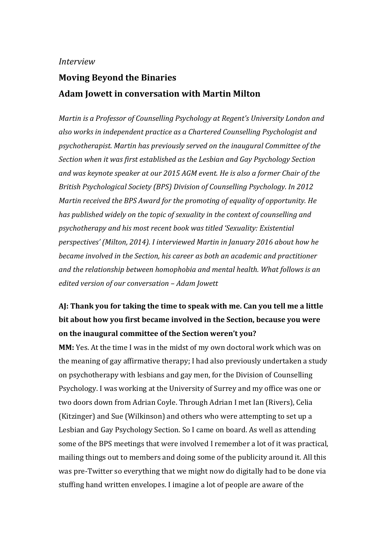#### *Interview*

# **Moving Beyond the Binaries Adam Jowett in conversation with Martin Milton**

*Martin is a Professor of Counselling Psychology at Regent's University London and also works in independent practice as a Chartered Counselling Psychologist and psychotherapist. Martin has previously served on the inaugural Committee of the Section when it was first established as the Lesbian and Gay Psychology Section and was keynote speaker at our 2015 AGM event. He is also a former Chair of the British Psychological Society (BPS) Division of Counselling Psychology. In 2012 Martin received the BPS Award for the promoting of equality of opportunity. He has published widely on the topic of sexuality in the context of counselling and psychotherapy and his most recent book was titled 'Sexuality: Existential perspectives' (Milton, 2014). I interviewed Martin in January 2016 about how he became involved in the Section, his career as both an academic and practitioner and the relationship between homophobia and mental health. What follows is an edited version of our conversation – Adam Jowett*

## **AJ: Thank you for taking the time to speak with me. Can you tell me a little bit about how you first became involved in the Section, because you were on the inaugural committee of the Section weren't you?**

**MM:** Yes. At the time I was in the midst of my own doctoral work which was on the meaning of gay affirmative therapy; I had also previously undertaken a study on psychotherapy with lesbians and gay men, for the Division of Counselling Psychology. I was working at the University of Surrey and my office was one or two doors down from Adrian Coyle. Through Adrian I met Ian (Rivers), Celia (Kitzinger) and Sue (Wilkinson) and others who were attempting to set up a Lesbian and Gay Psychology Section. So I came on board. As well as attending some of the BPS meetings that were involved I remember a lot of it was practical, mailing things out to members and doing some of the publicity around it. All this was pre-Twitter so everything that we might now do digitally had to be done via stuffing hand written envelopes. I imagine a lot of people are aware of the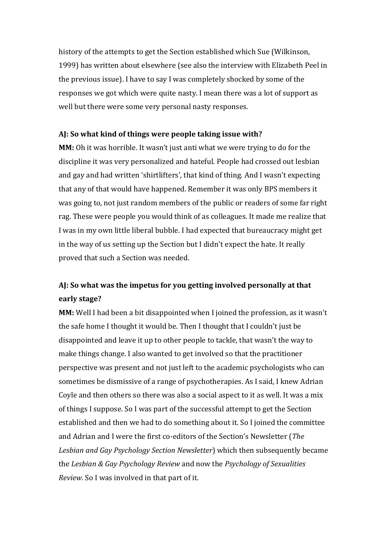history of the attempts to get the Section established which Sue (Wilkinson, 1999) has written about elsewhere (see also the interview with Elizabeth Peel in the previous issue). I have to say I was completely shocked by some of the responses we got which were quite nasty. I mean there was a lot of support as well but there were some very personal nasty responses.

#### **AJ: So what kind of things were people taking issue with?**

**MM:** Oh it was horrible. It wasn't just anti what we were trying to do for the discipline it was very personalized and hateful. People had crossed out lesbian and gay and had written 'shirtlifters', that kind of thing. And I wasn't expecting that any of that would have happened. Remember it was only BPS members it was going to, not just random members of the public or readers of some far right rag. These were people you would think of as colleagues. It made me realize that I was in my own little liberal bubble. I had expected that bureaucracy might get in the way of us setting up the Section but I didn't expect the hate. It really proved that such a Section was needed.

### **AJ: So what was the impetus for you getting involved personally at that early stage?**

**MM:** Well I had been a bit disappointed when I joined the profession, as it wasn't the safe home I thought it would be. Then I thought that I couldn't just be disappointed and leave it up to other people to tackle, that wasn't the way to make things change. I also wanted to get involved so that the practitioner perspective was present and not just left to the academic psychologists who can sometimes be dismissive of a range of psychotherapies. As I said, I knew Adrian Coyle and then others so there was also a social aspect to it as well. It was a mix of things I suppose. So I was part of the successful attempt to get the Section established and then we had to do something about it. So I joined the committee and Adrian and I were the first co-editors of the Section's Newsletter (*The Lesbian and Gay Psychology Section Newsletter*) which then subsequently became the *Lesbian & Gay Psychology Review* and now the *Psychology of Sexualities Review*. So I was involved in that part of it.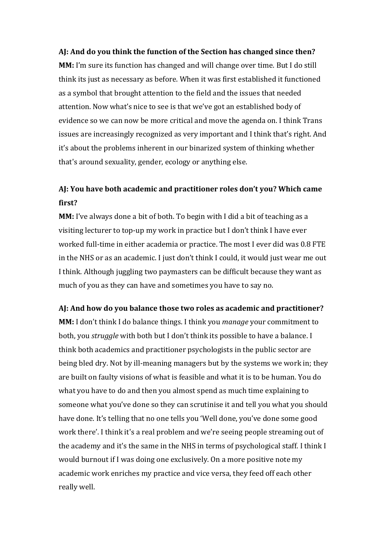#### **AJ: And do you think the function of the Section has changed since then?**

**MM:** I'm sure its function has changed and will change over time. But I do still think its just as necessary as before. When it was first established it functioned as a symbol that brought attention to the field and the issues that needed attention. Now what's nice to see is that we've got an established body of evidence so we can now be more critical and move the agenda on. I think Trans issues are increasingly recognized as very important and I think that's right. And it's about the problems inherent in our binarized system of thinking whether that's around sexuality, gender, ecology or anything else.

### **AJ: You have both academic and practitioner roles don't you? Which came first?**

**MM:** I've always done a bit of both. To begin with I did a bit of teaching as a visiting lecturer to top-up my work in practice but I don't think I have ever worked full-time in either academia or practice. The most I ever did was 0.8 FTE in the NHS or as an academic. I just don't think I could, it would just wear me out I think. Although juggling two paymasters can be difficult because they want as much of you as they can have and sometimes you have to say no.

#### **AJ: And how do you balance those two roles as academic and practitioner?**

**MM:** I don't think I do balance things. I think you *manage* your commitment to both, you *struggle* with both but I don't think its possible to have a balance. I think both academics and practitioner psychologists in the public sector are being bled dry. Not by ill-meaning managers but by the systems we work in; they are built on faulty visions of what is feasible and what it is to be human. You do what you have to do and then you almost spend as much time explaining to someone what you've done so they can scrutinise it and tell you what you should have done. It's telling that no one tells you 'Well done, you've done some good work there'. I think it's a real problem and we're seeing people streaming out of the academy and it's the same in the NHS in terms of psychological staff. I think I would burnout if I was doing one exclusively. On a more positive note my academic work enriches my practice and vice versa, they feed off each other really well.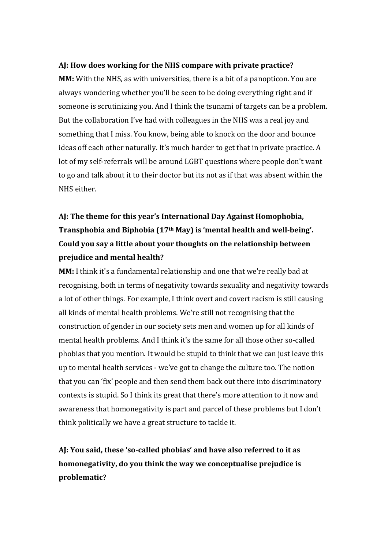#### **AJ: How does working for the NHS compare with private practice?**

**MM:** With the NHS, as with universities, there is a bit of a panopticon. You are always wondering whether you'll be seen to be doing everything right and if someone is scrutinizing you. And I think the tsunami of targets can be a problem. But the collaboration I've had with colleagues in the NHS was a real joy and something that I miss. You know, being able to knock on the door and bounce ideas off each other naturally. It's much harder to get that in private practice. A lot of my self-referrals will be around LGBT questions where people don't want to go and talk about it to their doctor but its not as if that was absent within the NHS either.

# **AJ: The theme for this year's International Day Against Homophobia, Transphobia and Biphobia (17th May) is 'mental health and well-being'. Could you say a little about your thoughts on the relationship between prejudice and mental health?**

**MM:** I think it's a fundamental relationship and one that we're really bad at recognising, both in terms of negativity towards sexuality and negativity towards a lot of other things. For example, I think overt and covert racism is still causing all kinds of mental health problems. We're still not recognising that the construction of gender in our society sets men and women up for all kinds of mental health problems. And I think it's the same for all those other so-called phobias that you mention. It would be stupid to think that we can just leave this up to mental health services - we've got to change the culture too. The notion that you can 'fix' people and then send them back out there into discriminatory contexts is stupid. So I think its great that there's more attention to it now and awareness that homonegativity is part and parcel of these problems but I don't think politically we have a great structure to tackle it.

# **AJ: You said, these 'so-called phobias' and have also referred to it as homonegativity, do you think the way we conceptualise prejudice is problematic?**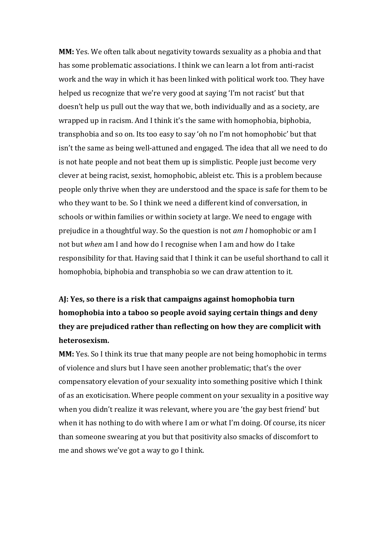**MM:** Yes. We often talk about negativity towards sexuality as a phobia and that has some problematic associations. I think we can learn a lot from anti-racist work and the way in which it has been linked with political work too. They have helped us recognize that we're very good at saying 'I'm not racist' but that doesn't help us pull out the way that we, both individually and as a society, are wrapped up in racism. And I think it's the same with homophobia, biphobia, transphobia and so on. Its too easy to say 'oh no I'm not homophobic' but that isn't the same as being well-attuned and engaged. The idea that all we need to do is not hate people and not beat them up is simplistic. People just become very clever at being racist, sexist, homophobic, ableist etc. This is a problem because people only thrive when they are understood and the space is safe for them to be who they want to be. So I think we need a different kind of conversation, in schools or within families or within society at large. We need to engage with prejudice in a thoughtful way. So the question is not *am I* homophobic or am I not but *when* am I and how do I recognise when I am and how do I take responsibility for that. Having said that I think it can be useful shorthand to call it homophobia, biphobia and transphobia so we can draw attention to it.

# **AJ: Yes, so there is a risk that campaigns against homophobia turn homophobia into a taboo so people avoid saying certain things and deny they are prejudiced rather than reflecting on how they are complicit with heterosexism.**

**MM:** Yes. So I think its true that many people are not being homophobic in terms of violence and slurs but I have seen another problematic; that's the over compensatory elevation of your sexuality into something positive which I think of as an exoticisation. Where people comment on your sexuality in a positive way when you didn't realize it was relevant, where you are 'the gay best friend' but when it has nothing to do with where I am or what I'm doing. Of course, its nicer than someone swearing at you but that positivity also smacks of discomfort to me and shows we've got a way to go I think.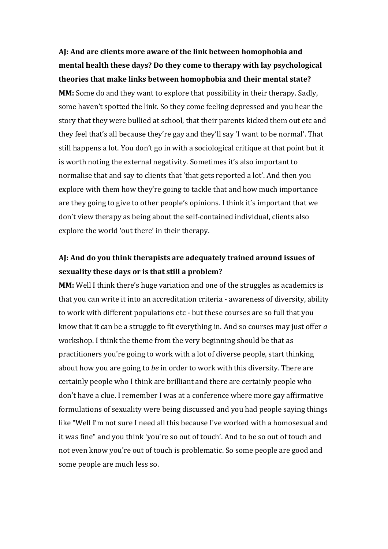**AJ: And are clients more aware of the link between homophobia and mental health these days? Do they come to therapy with lay psychological theories that make links between homophobia and their mental state?**

**MM:** Some do and they want to explore that possibility in their therapy. Sadly, some haven't spotted the link. So they come feeling depressed and you hear the story that they were bullied at school, that their parents kicked them out etc and they feel that's all because they're gay and they'll say 'I want to be normal'. That still happens a lot. You don't go in with a sociological critique at that point but it is worth noting the external negativity. Sometimes it's also important to normalise that and say to clients that 'that gets reported a lot'. And then you explore with them how they're going to tackle that and how much importance are they going to give to other people's opinions. I think it's important that we don't view therapy as being about the self-contained individual, clients also explore the world 'out there' in their therapy.

### **AJ: And do you think therapists are adequately trained around issues of sexuality these days or is that still a problem?**

**MM:** Well I think there's huge variation and one of the struggles as academics is that you can write it into an accreditation criteria - awareness of diversity, ability to work with different populations etc - but these courses are so full that you know that it can be a struggle to fit everything in. And so courses may just offer *a* workshop. I think the theme from the very beginning should be that as practitioners you're going to work with a lot of diverse people, start thinking about how you are going to *be* in order to work with this diversity. There are certainly people who I think are brilliant and there are certainly people who don't have a clue. I remember I was at a conference where more gay affirmative formulations of sexuality were being discussed and you had people saying things like "Well I'm not sure I need all this because I've worked with a homosexual and it was fine" and you think 'you're so out of touch'. And to be so out of touch and not even know you're out of touch is problematic. So some people are good and some people are much less so.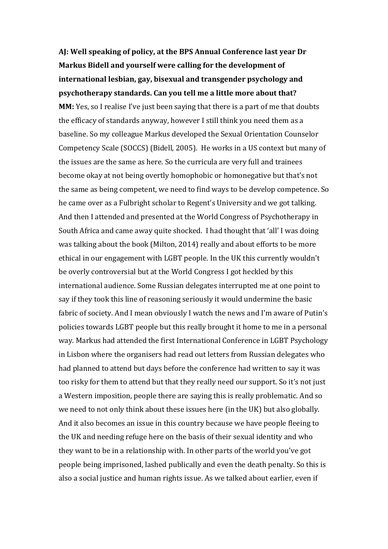**AJ: Well speaking of policy, at the BPS Annual Conference last year Dr Markus Bidell and yourself were calling for the development of international lesbian, gay, bisexual and transgender psychology and psychotherapy standards. Can you tell me a little more about that? MM:** Yes, so I realise I've just been saying that there is a part of me that doubts the efficacy of standards anyway, however I still think you need them as a baseline. So my colleague Markus developed the Sexual Orientation Counselor Competency Scale (SOCCS) (Bidell, 2005). He works in a US context but many of the issues are the same as here. So the curricula are very full and trainees become okay at not being overtly homophobic or homonegative but that's not the same as being competent, we need to find ways to be develop competence. So he came over as a Fulbright scholar to Regent's University and we got talking. And then I attended and presented at the World Congress of Psychotherapy in South Africa and came away quite shocked. I had thought that 'all' I was doing was talking about the book (Milton, 2014) really and about efforts to be more ethical in our engagement with LGBT people. In the UK this currently wouldn't be overly controversial but at the World Congress I got heckled by this international audience. Some Russian delegates interrupted me at one point to say if they took this line of reasoning seriously it would undermine the basic fabric of society. And I mean obviously I watch the news and I'm aware of Putin's policies towards LGBT people but this really brought it home to me in a personal way. Markus had attended the first International Conference in LGBT Psychology in Lisbon where the organisers had read out letters from Russian delegates who had planned to attend but days before the conference had written to say it was too risky for them to attend but that they really need our support. So it's not just a Western imposition, people there are saying this is really problematic. And so we need to not only think about these issues here (in the UK) but also globally. And it also becomes an issue in this country because we have people fleeing to the UK and needing refuge here on the basis of their sexual identity and who they want to be in a relationship with. In other parts of the world you've got people being imprisoned, lashed publically and even the death penalty. So this is also a social justice and human rights issue. As we talked about earlier, even if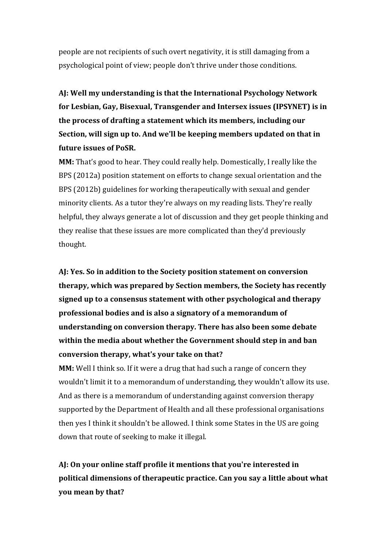people are not recipients of such overt negativity, it is still damaging from a psychological point of view; people don't thrive under those conditions.

**AJ: Well my understanding is that the International Psychology Network for Lesbian, Gay, Bisexual, Transgender and Intersex issues (IPSYNET) is in the process of drafting a statement which its members, including our Section, will sign up to. And we'll be keeping members updated on that in future issues of PoSR.** 

**MM:** That's good to hear. They could really help. Domestically, I really like the BPS (2012a) position statement on efforts to change sexual orientation and the BPS (2012b) guidelines for working therapeutically with sexual and gender minority clients. As a tutor they're always on my reading lists. They're really helpful, they always generate a lot of discussion and they get people thinking and they realise that these issues are more complicated than they'd previously thought.

**AJ: Yes. So in addition to the Society position statement on conversion therapy, which was prepared by Section members, the Society has recently signed up to a consensus statement with other psychological and therapy professional bodies and is also a signatory of a memorandum of understanding on conversion therapy. There has also been some debate within the media about whether the Government should step in and ban conversion therapy, what's your take on that?**

**MM:** Well I think so. If it were a drug that had such a range of concern they wouldn't limit it to a memorandum of understanding, they wouldn't allow its use. And as there is a memorandum of understanding against conversion therapy supported by the Department of Health and all these professional organisations then yes I think it shouldn't be allowed. I think some States in the US are going down that route of seeking to make it illegal.

**AJ: On your online staff profile it mentions that you're interested in political dimensions of therapeutic practice. Can you say a little about what you mean by that?**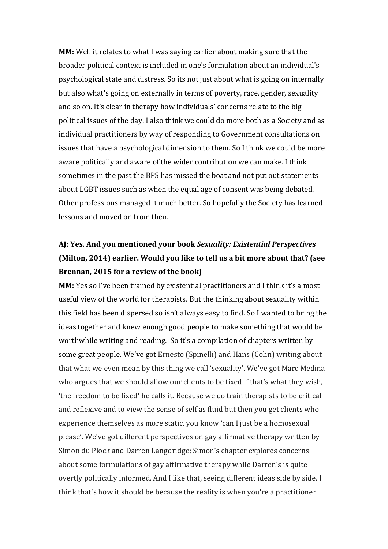**MM:** Well it relates to what I was saying earlier about making sure that the broader political context is included in one's formulation about an individual's psychological state and distress. So its not just about what is going on internally but also what's going on externally in terms of poverty, race, gender, sexuality and so on. It's clear in therapy how individuals' concerns relate to the big political issues of the day. I also think we could do more both as a Society and as individual practitioners by way of responding to Government consultations on issues that have a psychological dimension to them. So I think we could be more aware politically and aware of the wider contribution we can make. I think sometimes in the past the BPS has missed the boat and not put out statements about LGBT issues such as when the equal age of consent was being debated. Other professions managed it much better. So hopefully the Society has learned lessons and moved on from then.

# **AJ: Yes. And you mentioned your book** *Sexuality: Existential Perspectives* **(Milton, 2014) earlier. Would you like to tell us a bit more about that? (see Brennan, 2015 for a review of the book)**

**MM:** Yes so I've been trained by existential practitioners and I think it's a most useful view of the world for therapists. But the thinking about sexuality within this field has been dispersed so isn't always easy to find. So I wanted to bring the ideas together and knew enough good people to make something that would be worthwhile writing and reading. So it's a compilation of chapters written by some great people. We've got Ernesto (Spinelli) and Hans (Cohn) writing about that what we even mean by this thing we call 'sexuality'. We've got Marc Medina who argues that we should allow our clients to be fixed if that's what they wish, 'the freedom to be fixed' he calls it. Because we do train therapists to be critical and reflexive and to view the sense of self as fluid but then you get clients who experience themselves as more static, you know 'can I just be a homosexual please'. We've got different perspectives on gay affirmative therapy written by Simon du Plock and Darren Langdridge; Simon's chapter explores concerns about some formulations of gay affirmative therapy while Darren's is quite overtly politically informed. And I like that, seeing different ideas side by side. I think that's how it should be because the reality is when you're a practitioner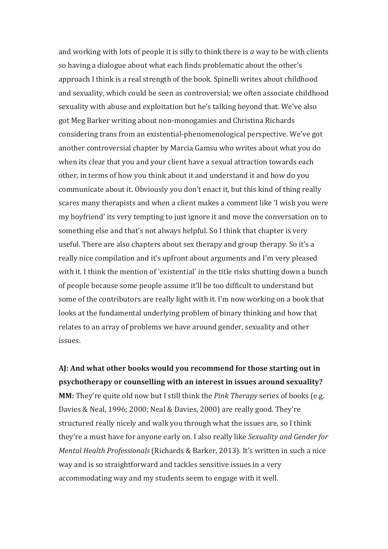and working with lots of people it is silly to think there is *a* way to be with clients so having a dialogue about what each finds problematic about the other's approach I think is a real strength of the book. Spinelli writes about childhood and sexuality, which could be seen as controversial; we often associate childhood sexuality with abuse and exploitation but he's talking beyond that. We've also got Meg Barker writing about non-monogamies and Christina Richards considering trans from an existential-phenomenological perspective. We've got another controversial chapter by Marcia Gamsu who writes about what you do when its clear that you and your client have a sexual attraction towards each other, in terms of how you think about it and understand it and how do you communicate about it. Obviously you don't enact it, but this kind of thing really scares many therapists and when a client makes a comment like 'I wish you were my boyfriend' its very tempting to just ignore it and move the conversation on to something else and that's not always helpful. So I think that chapter is very useful. There are also chapters about sex therapy and group therapy. So it's a really nice compilation and it's upfront about arguments and I'm very pleased with it. I think the mention of 'existential' in the title risks shutting down a bunch of people because some people assume it'll be too difficult to understand but some of the contributors are really light with it. I'm now working on a book that looks at the fundamental underlying problem of binary thinking and how that relates to an array of problems we have around gender, sexuality and other issues.

**AJ: And what other books would you recommend for those starting out in psychotherapy or counselling with an interest in issues around sexuality? MM:** They're quite old now but I still think the *Pink Therapy* series of books (e.g. Davies & Neal, 1996; 2000; Neal & Davies, 2000) are really good. They're structured really nicely and walk you through what the issues are, so I think they're a must have for anyone early on. I also really like *Sexuality and Gender for Mental Health Professionals* (Richards & Barker, 2013). It's written in such a nice way and is so straightforward and tackles sensitive issues in a very accommodating way and my students seem to engage with it well.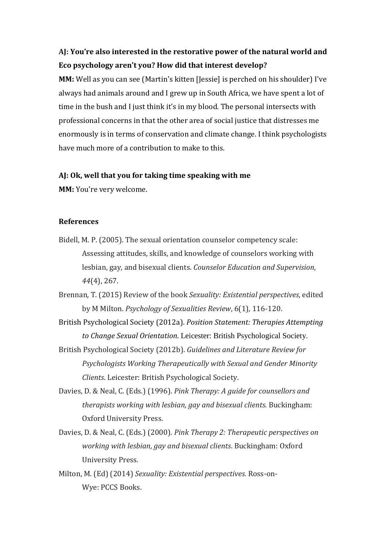### **AJ: You're also interested in the restorative power of the natural world and Eco psychology aren't you? How did that interest develop?**

**MM:** Well as you can see (Martin's kitten [Jessie] is perched on his shoulder) I've always had animals around and I grew up in South Africa, we have spent a lot of time in the bush and I just think it's in my blood. The personal intersects with professional concerns in that the other area of social justice that distresses me enormously is in terms of conservation and climate change. I think psychologists have much more of a contribution to make to this.

#### **AJ: Ok, well that you for taking time speaking with me**

**MM:** You're very welcome.

#### **References**

- Bidell, M. P. (2005). The sexual orientation counselor competency scale: Assessing attitudes, skills, and knowledge of counselors working with lesbian, gay, and bisexual clients. *Counselor Education and Supervision*, *44*(4), 267.
- Brennan, T. (2015) Review of the book *Sexuality: Existential perspectives*, edited by M Milton. *Psychology of Sexualities Review*, 6(1), 116-120.
- British Psychological Society (2012a). *Position Statement: Therapies Attempting to Change Sexual Orientation*. Leicester: British Psychological Society.
- British Psychological Society (2012b). *Guidelines and Literature Review for Psychologists Working Therapeutically with Sexual and Gender Minority Clients*. Leicester: British Psychological Society.
- Davies, D. & Neal, C. (Eds.) (1996). *Pink Therapy: A guide for counsellors and therapists working with lesbian, gay and bisexual clients*. Buckingham: Oxford University Press.
- Davies, D. & Neal, C. (Eds.) (2000). *Pink Therapy 2: Therapeutic perspectives on working with lesbian, gay and bisexual clients*. Buckingham: Oxford University Press.
- Milton, M. (Ed) (2014) *Sexuality: Existential perspectives*. Ross-on-Wye: PCCS Books.